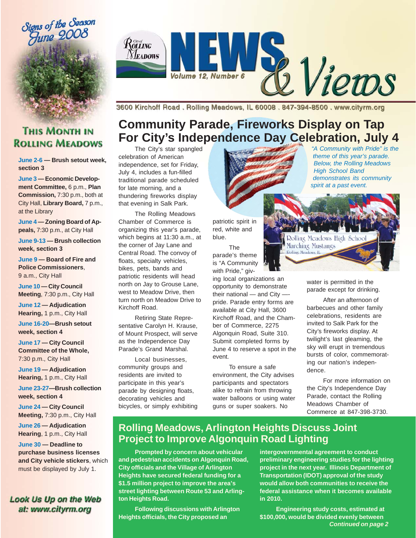



3600 Kirchoff Road, Rolling Meadows, IL 60008, 847-394-8500, www.cityrm.org

## **THIS MONTH IN ROLLING MEADOWS**

#### **June 2-6 — Brush setout week, section 3**

**June 3 — Economic Development Committee,** 6 p.m., **Plan Commission,** 7:30 p.m., both at City Hall, **Library Board,** 7 p.m., at the Library

**June 4 — Zoning Board of Appeals,** 7:30 p.m., at City Hall

**June 9-13 — Brush collection week, section 3**

**June 9 — Board of Fire and Police Commissioners**, 9 a.m., City Hall

**June 10 — City Council Meeting**, 7:30 p.m., City Hall

**June 12 — Adjudication Hearing,** 1 p.m., City Hall

**June 16-20—Brush setout week, section 4**

**June 17 — City Council Committee of the Whole,** 7:30 p.m., City Hall

**June 19 — Adjudication Hearing,** 1 p.m., City Hall

**June 23-27—Brush collection week, section 4**

**June 24 — City Council Meeting,** 7:30 p.m., City Hall

**June 26 — Adjudication Hearing**, 1 p.m., City Hall

**June 30 — Deadline to purchase business licenses and City vehicle stickers**, which must be displayed by July 1.

#### Look Us Up on the Web at: www.cityrm.org

## **Community Parade, Fireworks Display on Tap For City's Independence Day Celebration, July 4**

The City's star spangled celebration of American independence, set for Friday, July 4, includes a fun-filled traditional parade scheduled for late morning, and a thundering fireworks display that evening in Salk Park.

The Rolling Meadows Chamber of Commerce is organizing this year's parade, which begins at 11:30 a.m., at the corner of Jay Lane and Central Road. The convoy of floats, specialty vehicles, bikes, pets, bands and patriotic residents will head north on Jay to Grouse Lane, west to Meadow Drive, then turn north on Meadow Drive to Kirchoff Road.

Retiring State Representative Carolyn H. Krause, of Mount Prospect, will serve as the Independence Day Parade's Grand Marshal.

Local businesses, community groups and residents are invited to participate in this year's parade by designing floats, decorating vehicles and bicycles, or simply exhibiting patriotic spirit in red, white and blue.

The parade's theme is "A Community with Pride." aiv-

ing local organizations an opportunity to demonstrate their national  $-$  and City  $$ pride. Parade entry forms are available at City Hall, 3600 Kirchoff Road, and the Chamber of Commerce, 2275 Algonquin Road, Suite 310. Submit completed forms by June 4 to reserve a spot in the event.

To ensure a safe environment, the City advises participants and spectators alike to refrain from throwing water balloons or using water guns or super soakers. No

*. theme of this year's parade. "A Community with Pride" is the Below, the Rolling Meadows High School Band demonstrates its community spirit at a past event.*

water is permitted in the parade except for drinking.

Rolling Meadows High Schoo

Marching Mustangs **Dolling Meadows II** 

> After an afternoon of barbecues and other family celebrations, residents are invited to Salk Park for the City's fireworks display. At twilight's last gleaming, the sky will erupt in tremendous bursts of color, commemorating our nation's independence.

For more information on the City's Independence Day Parade, contact the Rolling Meadows Chamber of Commerce at 847-398-3730.

### **Rolling Meadows, Arlington Heights Discuss Joint Project to Improve Algonquin Road Lighting**

**Prompted by concern about vehicular and pedestrian accidents on Algonquin Road, City officials and the Village of Arlington Heights have secured federal funding for a \$1.5 million project to improve the area's street lighting between Route 53 and Arlington Heights Road.**

**Following discussions with Arlington Heights officials, the City proposed an**

**intergovernmental agreement to conduct preliminary engineering studies for the lighting project in the next year. Illinois Department of Transportation (IDOT) approval of the study would allow both communities to receive the federal assistance when it becomes available in 2010.**

*Continued on page 2* **Engineering study costs, estimated at \$100,000, would be divided evenly between**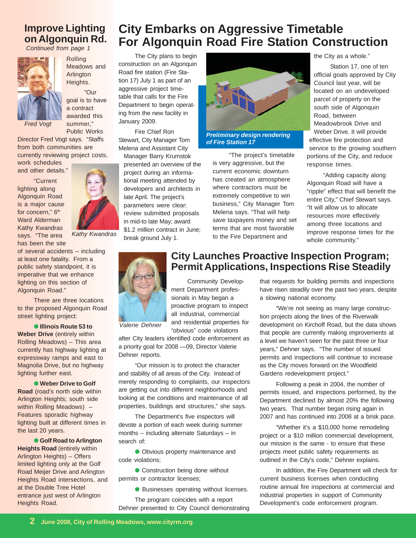### **Improve Lighting on Algonquin Rd.**

*Continued from page 1*



Rolling Meadows and Arlington Heights. "Our goal is to have a contract awarded this

*Fred Vogt*

summer," Public Works

Director Fred Vogt says. "Staffs from both communities are currently reviewing project costs,

work schedules and other details."

"Current lighting along Algonquin Road is a major cause for concern," 6<sup>th</sup> Ward Alderman Kathy Kwandras says. "The area has been the site



*Kathy Kwandras*

of several accidents – including at least one fatality. From a public safety standpoint, it is imperative that we enhance lighting on this section of Algonquin Road."

There are three locations to the proposed Algonquin Road street lighting project:

● **Illinois Route 53 to Weber Drive** (entirely within Rolling Meadows) – This area currently has highway lighting at expressway ramps and east to Magnolia Drive, but no highway lighting further east.

● Weber Drive to Golf **Road** (road's north side within Arlington Heights; south side within Rolling Meadows) -Features sporadic highway lighting built at different times in the last 20 years.

● **Golf Road to Arlington Heights Road** (entirely within Arlington Heights) – Offers limited lighting only at the Golf Road Meijer Drive and Arlington Heights Road intersections, and at the Double Tree Hotel entrance just west of Arlington Heights Road.

## **City Embarks on Aggressive Timetable For Algonquin Road Fire Station Construction**

The City plans to begin construction on an Algonquin Road fire station (Fire Station 17) July 1 as part of an aggressive project timetable that calls for the Fire Department to begin operating from the new facility in January 2009.

Fire Chief Ron Stewart, City Manager Tom Melena and Assistant City

Manager Barry Krumstok presented an overview of the project during an informational meeting attended by developers and architects in late April. The project's parameters were clear: review submitted proposals in mid-to late May; award \$1.2 million contract in June: break ground July 1.



*Preliminary design rendering of Fire Station 17*

"The project's timetable is very aggressive, but the current economic downturn has created an atmosphere where contractors must be extremely competitive to win business," City Manager Tom Melena says. "That will help save taxpayers money and set terms that are most favorable to the Fire Department and

the City as a whole."

Station 17, one of ten official goals approved by City Council last year, will be located on an undeveloped parcel of property on the south side of Algonquin Road, between Meadowbrook Drive and Weber Drive. It will provide effective fire protection and service to the growing southern portions of the City, and reduce response times.

"Adding capacity along Algonquin Road will have a "ripple" effect that will benefit the entire City," Chief Stewart says. "It will allow us to allocate resources more effectively among three locations and improve response times for the whole community."



*Valerie Dehner*

ment Department professionals in May began a proactive program to inspect all industrial, commercial and residential properties for "obvious" code violations

after City leaders identified code enforcement as a priority goal for 2008 —09, Director Valerie Dehner reports.

"Our mission is to protect the character and stability of all areas of the City. Instead of merely responding to complaints, our inspectors are getting out into different neighborhoods and looking at the conditions and maintenance of all properties, buildings and structures," she says.

The Department's five inspectors will devote a portion of each week during summer months – including alternate Saturdays – in search of:

● Obvious property maintenance and code violations;

● Construction being done without permits or contractor licenses;

● Businesses operating without licenses.

The program coincides with a report Dehner presented to City Council demonstrating

#### **City Launches Proactive Inspection Program; Permit Applications, Inspections Rise Steadily** Community Develop-

that requests for building permits and inspections have risen steadily over the past two years, despite a slowing national economy.

"We're not seeing as many large construction projects along the lines of the Riverwalk development on Kirchoff Road, but the data shows that people are currently making improvements at a level we haven't seen for the past three or four years," Dehner says. "The number of issued permits and inspections will continue to increase as the City moves forward on the Woodfield Gardens redevelopment project."

Following a peak in 2004, the number of permits issued, and inspections performed, by the Department declined by almost 20% the following two years. That number began rising again in 2007 and has continued into 2008 at a brisk pace.

"Whether it's a \$10,000 home remodeling project or a \$10 million commercial development, our mission is the same - to ensure that these projects meet public safety requirements as outlined in the City's code," Dehner explains.

In addition, the Fire Department will check for current business licenses when conducting routine annual fire inspections at commercial and industrial properties in support of Community Development's code enforcement program.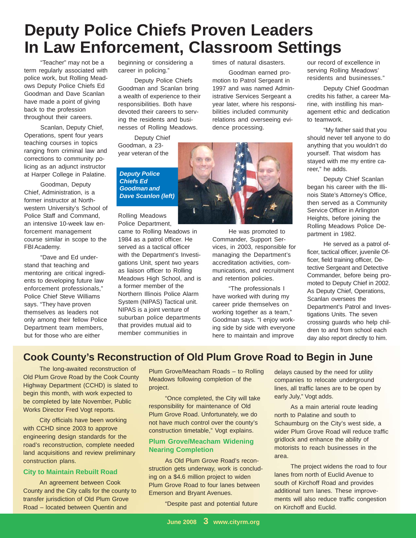# **Deputy Police Chiefs Proven Leaders In Law Enforcement, Classroom Settings**

"Teacher" may not be a term regularly associated with police work, but Rolling Meadows Deputy Police Chiefs Ed Goodman and Dave Scanlan have made a point of giving back to the profession throughout their careers.

Scanlan, Deputy Chief, Operations, spent four years teaching courses in topics ranging from criminal law and corrections to community policing as an adjunct instructor at Harper College in Palatine.

Goodman, Deputy Chief, Administration, is a former instructor at Northwestern University's School of Police Staff and Command, an intensive 10-week law enforcement management course similar in scope to the FBI Academy.

"Dave and Ed understand that teaching and mentoring are critical ingredients to developing future law enforcement professionals," Police Chief Steve Williams says. "They have proven themselves as leaders not only among their fellow Police Department team members, but for those who are either

beginning or considering a career in policing."

Deputy Police Chiefs Goodman and Scanlan bring a wealth of experience to their responsibilities. Both have devoted their careers to serving the residents and businesses of Rolling Meadows.

Deputy Chief Goodman, a 23 year veteran of the

times of natural disasters. Goodman earned pro-

motion to Patrol Sergeant in 1997 and was named Administrative Services Sergeant a year later, where his responsibilities included community relations and overseeing evidence processing.

*Deputy Police Chiefs Ed Goodman and Dave Scanlon (left)*

Rolling Meadows Police Department, came to Rolling Meadows in 1984 as a patrol officer. He served as a tactical officer with the Department's Investigations Unit, spent two years as liaison officer to Rolling Meadows High School, and is a former member of the Northern Illinois Police Alarm System (NIPAS) Tactical unit. NIPAS is a joint venture of suburban police departments that provides mutual aid to member communities in



He was promoted to Commander, Support Services, in 2003, responsible for managing the Department's accreditation activities, communications, and recruitment and retention policies.

"The professionals I have worked with during my career pride themselves on working together as a team," Goodman says. "I enjoy working side by side with everyone here to maintain and improve

our record of excellence in serving Rolling Meadows' residents and businesses."

Deputy Chief Goodman credits his father, a career Marine, with instilling his management ethic and dedication to teamwork.

"My father said that you should never tell anyone to do anything that you wouldn't do yourself. That wisdom has stayed with me my entire career," he adds.

Deputy Chief Scanlan began his career with the Illinois State's Attorney's Office, then served as a Community Service Officer in Arlington Heights, before joining the Rolling Meadows Police Department in 1982.

He served as a patrol officer, tactical officer, juvenile Officer, field training officer, Detective Sergeant and Detective Commander, before being promoted to Deputy Chief in 2002. As Deputy Chief, Operations, Scanlan oversees the Department's Patrol and Investigations Units. The seven crossing guards who help children to and from school each day also report directly to him.

## **Cook County's Reconstruction of Old Plum Grove Road to Begin in June**

The long-awaited reconstruction of Old Plum Grove Road by the Cook County Highway Department (CCHD) is slated to begin this month, with work expected to be completed by late November, Public Works Director Fred Vogt reports.

City officials have been working with CCHD since 2003 to approve engineering design standards for the road's reconstruction, complete needed land acquisitions and review preliminary construction plans.

#### **City to Maintain Rebuilt Road**

An agreement between Cook County and the City calls for the county to transfer jurisdiction of Old Plum Grove Road – located between Quentin and

Plum Grove/Meacham Roads – to Rolling Meadows following completion of the project.

"Once completed, the City will take responsibility for maintenance of Old Plum Grove Road. Unfortunately, we do not have much control over the county's construction timetable," Vogt explains.

#### **Plum Grove/Meacham Widening Nearing Completion**

As Old Plum Grove Road's reconstruction gets underway, work is concluding on a \$4.6 million project to widen Plum Grove Road to four lanes between Emerson and Bryant Avenues.

"Despite past and potential future

delays caused by the need for utility companies to relocate underground lines, all traffic lanes are to be open by early July," Vogt adds.

As a main arterial route leading north to Palatine and south to Schaumburg on the City's west side, a wider Plum Grove Road will reduce traffic gridlock and enhance the ability of motorists to reach businesses in the area.

The project widens the road to four lanes from north of Euclid Avenue to south of Kirchoff Road and provides additional turn lanes. These improvements will also reduce traffic congestion on Kirchoff and Euclid.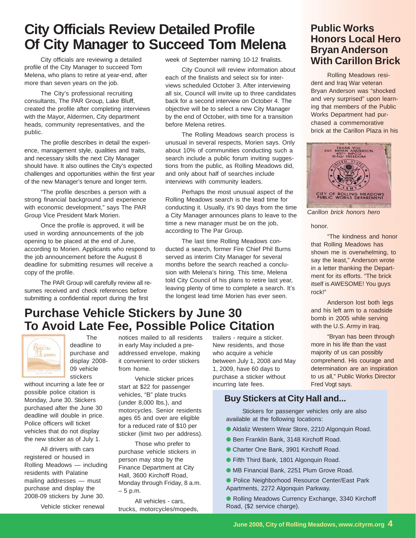## **City Officials Review Detailed Profile Of City Manager to Succeed Tom Melena**

City officials are reviewing a detailed profile of the City Manager to succeed Tom Melena, who plans to retire at year-end, after more than seven years on the job.

The City's professional recruiting consultants, The PAR Group, Lake Bluff, created the profile after completing interviews with the Mayor, Aldermen, City department heads, community representatives, and the public.

The profile describes in detail the experience, management style, qualities and traits, and necessary skills the next City Manager should have. It also outlines the City's expected challenges and opportunities within the first year of the new Manager's tenure and longer term.

"The profile describes a person with a strong financial background and experience with economic development," says The PAR Group Vice President Mark Morien.

Once the profile is approved, it will be used in wording announcements of the job opening to be placed at the end of June, according to Morien. Applicants who respond to the job announcement before the August 8 deadline for submitting resumes will receive a copy of the profile.

The PAR Group will carefully review all resumes received and check references before submitting a confidential report during the first

week of September naming 10-12 finalists.

City Council will review information about each of the finalists and select six for interviews scheduled October 3. After interviewing all six, Council will invite up to three candidates back for a second interview on October 4. The objective will be to select a new City Manager by the end of October, with time for a transition before Melena retires.

The Rolling Meadows search process is unusual in several respects, Morien says. Only about 10% of communities conducting such a search include a public forum inviting suggestions from the public, as Rolling Meadows did, and only about half of searches include interviews with community leaders.

Perhaps the most unusual aspect of the Rolling Meadows search is the lead time for conducting it. Usually, it's 90 days from the time a City Manager announces plans to leave to the time a new manager must be on the job, according to The Par Group.

The last time Rolling Meadows conducted a search, former Fire Chief Phil Burns served as interim City Manager for several months before the search reached a conclusion with Melena's hiring. This time, Melena told City Council of his plans to retire last year, leaving plenty of time to complete a search. It's the longest lead time Morien has ever seen.

#### **Public Works Honors Local Hero Bryan Anderson With Carillon Brick**

Rolling Meadows resident and Iraq War veteran Bryan Anderson was "shocked and very surprised" upon learning that members of the Public Works Department had purchased a commemorative brick at the Carillon Plaza in his



*Carillon brick honors hero*

honor.

"The kindness and honor that Rolling Meadows has shown me is overwhelming, to say the least," Anderson wrote in a letter thanking the Department for its efforts. "The brick itself is AWESOME! You guys rock!"

Anderson lost both legs and his left arm to a roadside bomb in 2005 while serving with the U.S. Army in Iraq.

"Bryan has been through more in his life than the vast majority of us can possibly comprehend. His courage and determination are an inspiration to us all," Public Works Director Fred Vogt says.

## **Purchase Vehicle Stickers by June 30 To Avoid Late Fee, Possible Police Citation**



The deadline to purchase and display 2008- 09 vehicle stickers

without incurring a late fee or possible police citation is Monday, June 30. Stickers purchased after the June 30 deadline will double in price. Police officers will ticket vehicles that do not display the new sticker as of July 1.

All drivers with cars registered or housed in Rolling Meadows — including residents with Palatine mailing addresses — must purchase and display the 2008-09 stickers by June 30.

Vehicle sticker renewal

notices mailed to all residents in early May included a preaddressed envelope, making it convenient to order stickers from home.

Vehicle sticker prices start at \$22 for passenger vehicles, "B" plate trucks (under 8,000 lbs.), and motorcycles. Senior residents ages 65 and over are eligible for a reduced rate of \$10 per sticker (limit two per address).

Those who prefer to purchase vehicle stickers in person may stop by the Finance Department at City Hall, 3600 Kirchoff Road, Monday through Friday, 8 a.m. – 5 p.m.

All vehicles - cars, trucks, motorcycles/mopeds, trailers - require a sticker. New residents, and those who acquire a vehicle between July 1, 2008 and May 1, 2009, have 60 days to purchase a sticker without incurring late fees.

#### **Buy Stickers at City Hall and...**

Stickers for passenger vehicles only are also available at the following locations:

- Aldaliz Western Wear Store, 2210 Algonquin Road.
- Ben Franklin Bank, 3148 Kirchoff Road.
- Charter One Bank, 3901 Kirchoff Road.
- Fifth Third Bank, 1801 Algonquin Road.
- MB Financial Bank, 2251 Plum Grove Road.

● Police Neighborhood Resource Center/East Park Apartments, 2272 Algonquin Parkway.

● Rolling Meadows Currency Exchange, 3340 Kirchoff Road, (\$2 service charge).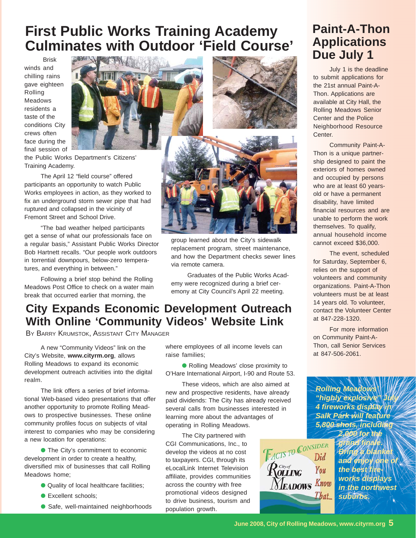# **First Public Works Training Academy Culminates with Outdoor 'Field Course'**

 Brisk winds and chilling rains gave eighteen Rolling Meadows residents a taste of the conditions City crews often face during the final session of



the Public Works Department's Citizens' Training Academy.

The April 12 "field course" offered participants an opportunity to watch Public Works employees in action, as they worked to fix an underground storm sewer pipe that had ruptured and collapsed in the vicinity of Fremont Street and School Drive.

"The bad weather helped participants get a sense of what our professionals face on a regular basis," Assistant Public Works Director Bob Hartnett recalls. "Our people work outdoors in torrential downpours, below-zero temperatures, and everything in between."

Following a brief stop behind the Rolling Meadows Post Office to check on a water main break that occurred earlier that morning, the





group learned about the City's sidewalk replacement program, street maintenance, and how the Department checks sewer lines via remote camera.

Graduates of the Public Works Academy were recognized during a brief ceremony at City Council's April 22 meeting.

## **City Expands Economic Development Outreach With Online 'Community Videos' Website Link**

BY BARRY KRUMSTOK, ASSISTANT CITY MANAGER

A new "Community Videos" link on the City's Website, **www.cityrm.org**, allows Rolling Meadows to expand its economic development outreach activities into the digital realm.

The link offers a series of brief informational Web-based video presentations that offer another opportunity to promote Rolling Meadows to prospective businesses. These online community profiles focus on subjects of vital interest to companies who may be considering a new location for operations:

● The City's commitment to economic development in order to create a healthy, diversified mix of businesses that call Rolling Meadows home;

- Quality of local healthcare facilities;
- Excellent schools;
- Safe, well-maintained neighborhoods

where employees of all income levels can raise families;

● Rolling Meadows' close proximity to O'Hare International Airport, I-90 and Route 53.

These videos, which are also aimed at new and prospective residents, have already paid dividends: The City has already received several calls from businesses interested in learning more about the advantages of operating in Rolling Meadows.

The City partnered with CGI Communications, Inc., to develop the videos at no cost to taxpayers. CGI, through its eLocalLink Internet Television affiliate, provides communities across the country with free promotional videos designed to drive business, tourism and population growth.



## **Paint-A-Thon Applications Due July 1**

July 1 is the deadline to submit applications for the 21st annual Paint-A-Thon. Applications are available at City Hall, the Rolling Meadows Senior Center and the Police Neighborhood Resource Center.

Community Paint-A-Thon is a unique partnership designed to paint the exteriors of homes owned and occupied by persons who are at least 60 yearsold or have a permanent disability, have limited financial resources and are unable to perform the work themselves. To qualify, annual household income cannot exceed \$36,000.

The event, scheduled for Saturday, September 6, relies on the support of volunteers and community organizations. Paint-A-Thon volunteers must be at least 14 years old. To volunteer, contact the Volunteer Center at 847-228-1320.

For more information on Community Paint-A-Thon, call Senior Services at 847-506-2061.

*Rolling Meadows'* "highly explosive" *4 fireworks display in Salk Park will feature 5,800 shots, including 2,000 for the*

*grand finale. Bring a blanket and enjoy one of* the best fir *works displays in the northwest suburbs.*